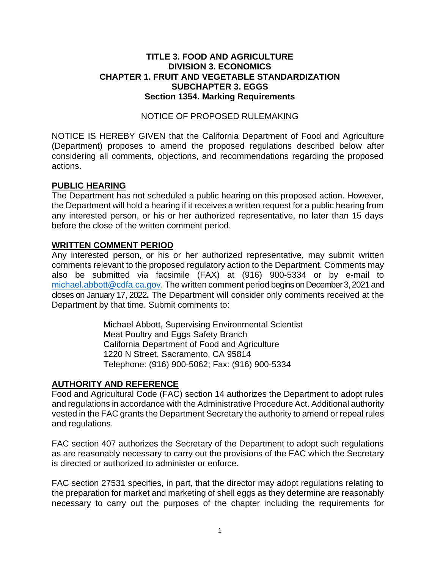### **TITLE 3. FOOD AND AGRICULTURE DIVISION 3. ECONOMICS CHAPTER 1. FRUIT AND VEGETABLE STANDARDIZATION SUBCHAPTER 3. EGGS Section 1354. Marking Requirements**

#### NOTICE OF PROPOSED RULEMAKING

 NOTICE IS HEREBY GIVEN that the California Department of Food and Agriculture considering all comments, objections, and recommendations regarding the proposed (Department) proposes to amend the proposed regulations described below after actions.

#### **PUBLIC HEARING**

 The Department has not scheduled a public hearing on this proposed action. However, any interested person, or his or her authorized representative, no later than 15 days the Department will hold a hearing if it receives a written request for a public hearing from before the close of the written comment period.

### **WRITTEN COMMENT PERIOD**

[michael.abbott@cdfa.ca.gov.](mailto:michael.abbott@cdfa.ca.gov) The written comment period begins on December 3, 2021 and closes on January 17, 2022**.** The Department will consider only comments received at the Any interested person, or his or her authorized representative, may submit written comments relevant to the proposed regulatory action to the Department. Comments may also be submitted via facsimile (FAX) at (916) 900-5334 or by e-mail to Department by that time. Submit comments to:

> Michael Abbott, Supervising Environmental Scientist Meat Poultry and Eggs Safety Branch California Department of Food and Agriculture 1220 N Street, Sacramento, CA 95814 Telephone: (916) 900-5062; Fax: (916) 900-5334

### **AUTHORITY AND REFERENCE**

 Food and Agricultural Code (FAC) section 14 authorizes the Department to adopt rules and regulations in accordance with the Administrative Procedure Act. Additional authority vested in the FAC grants the Department Secretary the authority to amend or repeal rules and regulations.

 FAC section 407 authorizes the Secretary of the Department to adopt such regulations as are reasonably necessary to carry out the provisions of the FAC which the Secretary is directed or authorized to administer or enforce.

 FAC section 27531 specifies, in part, that the director may adopt regulations relating to the preparation for market and marketing of shell eggs as they determine are reasonably necessary to carry out the purposes of the chapter including the requirements for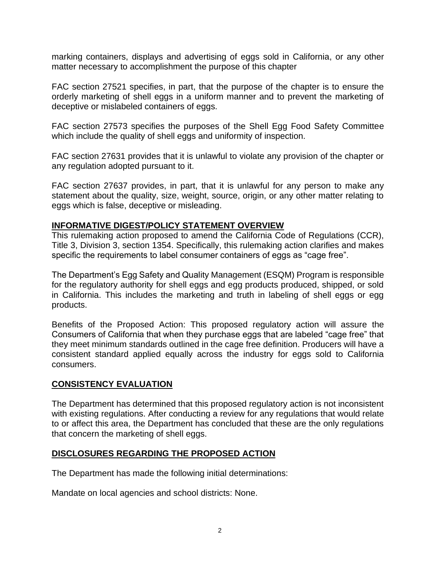marking containers, displays and advertising of eggs sold in California, or any other matter necessary to accomplishment the purpose of this chapter

 FAC section 27521 specifies, in part, that the purpose of the chapter is to ensure the orderly marketing of shell eggs in a uniform manner and to prevent the marketing of deceptive or mislabeled containers of eggs.

 FAC section 27573 specifies the purposes of the Shell Egg Food Safety Committee which include the quality of shell eggs and uniformity of inspection.

 FAC section 27631 provides that it is unlawful to violate any provision of the chapter or any regulation adopted pursuant to it.

 FAC section 27637 provides, in part, that it is unlawful for any person to make any statement about the quality, size, weight, source, origin, or any other matter relating to eggs which is false, deceptive or misleading.

### **INFORMATIVE DIGEST/POLICY STATEMENT OVERVIEW**

 This rulemaking action proposed to amend the California Code of Regulations (CCR), Title 3, Division 3, section 1354. Specifically, this rulemaking action clarifies and makes specific the requirements to label consumer containers of eggs as "cage free".

 The Department's Egg Safety and Quality Management (ESQM) Program is responsible for the regulatory authority for shell eggs and egg products produced, shipped, or sold in California. This includes the marketing and truth in labeling of shell eggs or egg products.

 Benefits of the Proposed Action: This proposed regulatory action will assure the they meet minimum standards outlined in the cage free definition. Producers will have a consistent standard applied equally across the industry for eggs sold to California Consumers of California that when they purchase eggs that are labeled "cage free" that consumers.

# **CONSISTENCY EVALUATION**

 to or affect this area, the Department has concluded that these are the only regulations The Department has determined that this proposed regulatory action is not inconsistent with existing regulations. After conducting a review for any regulations that would relate that concern the marketing of shell eggs.

# **DISCLOSURES REGARDING THE PROPOSED ACTION**

The Department has made the following initial determinations:

Mandate on local agencies and school districts: None.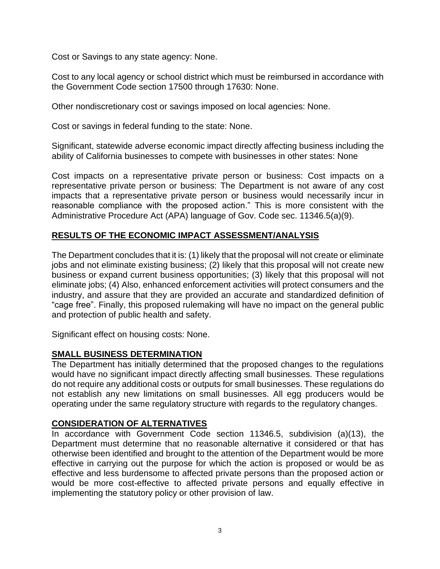Cost or Savings to any state agency: None.

 Cost to any local agency or school district which must be reimbursed in accordance with the Government Code section 17500 through 17630: None.

Other nondiscretionary cost or savings imposed on local agencies: None.

Cost or savings in federal funding to the state: None.

 Significant, statewide adverse economic impact directly affecting business including the ability of California businesses to compete with businesses in other states: None

 representative private person or business: The Department is not aware of any cost impacts that a representative private person or business would necessarily incur in reasonable compliance with the proposed action." This is more consistent with the Cost impacts on a representative private person or business: Cost impacts on a Administrative Procedure Act (APA) language of Gov. Code sec. 11346.5(a)(9).

### **RESULTS OF THE ECONOMIC IMPACT ASSESSMENT/ANALYSIS**

 The Department concludes that it is: (1) likely that the proposal will not create or eliminate jobs and not eliminate existing business; (2) likely that this proposal will not create new business or expand current business opportunities; (3) likely that this proposal will not eliminate jobs; (4) Also, enhanced enforcement activities will protect consumers and the industry, and assure that they are provided an accurate and standardized definition of "cage free". Finally, this proposed rulemaking will have no impact on the general public and protection of public health and safety.

Significant effect on housing costs: None.

#### **SMALL BUSINESS DETERMINATION**

 The Department has initially determined that the proposed changes to the regulations would have no significant impact directly affecting small businesses. These regulations not establish any new limitations on small businesses. All egg producers would be do not require any additional costs or outputs for small businesses. These regulations do operating under the same regulatory structure with regards to the regulatory changes.

### **CONSIDERATION OF ALTERNATIVES**

 Department must determine that no reasonable alternative it considered or that has otherwise been identified and brought to the attention of the Department would be more effective in carrying out the purpose for which the action is proposed or would be as effective and less burdensome to affected private persons than the proposed action or In accordance with Government Code section 11346.5, subdivision (a)(13), the would be more cost-effective to affected private persons and equally effective in implementing the statutory policy or other provision of law.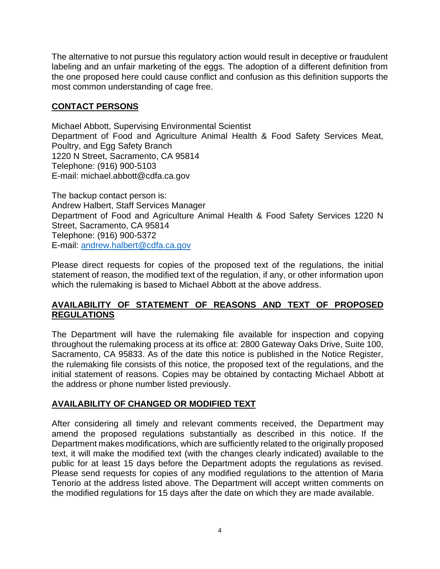The alternative to not pursue this regulatory action would result in deceptive or fraudulent labeling and an unfair marketing of the eggs. The adoption of a different definition from the one proposed here could cause conflict and confusion as this definition supports the most common understanding of cage free.

# **CONTACT PERSONS**

 Department of Food and Agriculture Animal Health & Food Safety Services Meat, Michael Abbott, Supervising Environmental Scientist Poultry, and Egg Safety Branch 1220 N Street, Sacramento, CA 95814 Telephone: (916) 900-5103 E-mail: [michael.abbott@cdfa.ca.gov](mailto:michael.abbott@cdfa.ca.gov)

 Department of Food and Agriculture Animal Health & Food Safety Services 1220 N The backup contact person is: Andrew Halbert, Staff Services Manager Street, Sacramento, CA 95814 Telephone: (916) 900-5372 E-mail: [andrew.halbert@cdfa.ca.gov](mailto:andrew.halbert@cdfa.ca.gov) 

 Please direct requests for copies of the proposed text of the regulations, the initial statement of reason, the modified text of the regulation, if any, or other information upon which the rulemaking is based to Michael Abbott at the above address.

# **AVAILABILITY OF STATEMENT OF REASONS AND TEXT OF PROPOSED REGULATIONS**

 The Department will have the rulemaking file available for inspection and copying throughout the rulemaking process at its office at: 2800 Gateway Oaks Drive, Suite 100, Sacramento, CA 95833. As of the date this notice is published in the Notice Register, the rulemaking file consists of this notice, the proposed text of the regulations, and the initial statement of reasons. Copies may be obtained by contacting Michael Abbott at the address or phone number listed previously.

### **AVAILABILITY OF CHANGED OR MODIFIED TEXT**

 After considering all timely and relevant comments received, the Department may amend the proposed regulations substantially as described in this notice. If the Department makes modifications, which are sufficiently related to the originally proposed text, it will make the modified text (with the changes clearly indicated) available to the public for at least 15 days before the Department adopts the regulations as revised. Please send requests for copies of any modified regulations to the attention of Maria Tenorio at the address listed above. The Department will accept written comments on the modified regulations for 15 days after the date on which they are made available.